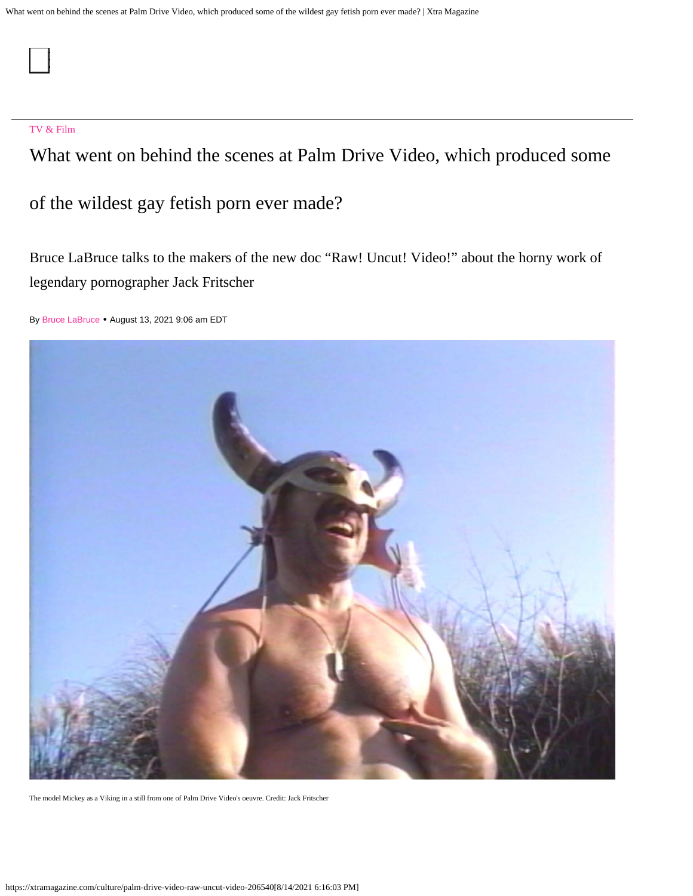#### [TV & Film](https://xtramagazine.com/culture/tv-film)

What went on behind the scenes at Palm Drive Video, which produced some

of the wildest gay fetish porn ever made?

Bruce LaBruce talks to the makers of the new doc "Raw! Uncut! Video!" about the horny work of legendary pornographer Jack Fritscher

By [Bruce LaBruce](https://xtramagazine.com/contributor/bruce-labruce) • August 13, 2021 9:06 am EDT



The model Mickey as a Viking in a still from one of Palm Drive Video's oeuvre. Credit: Jack Fritscher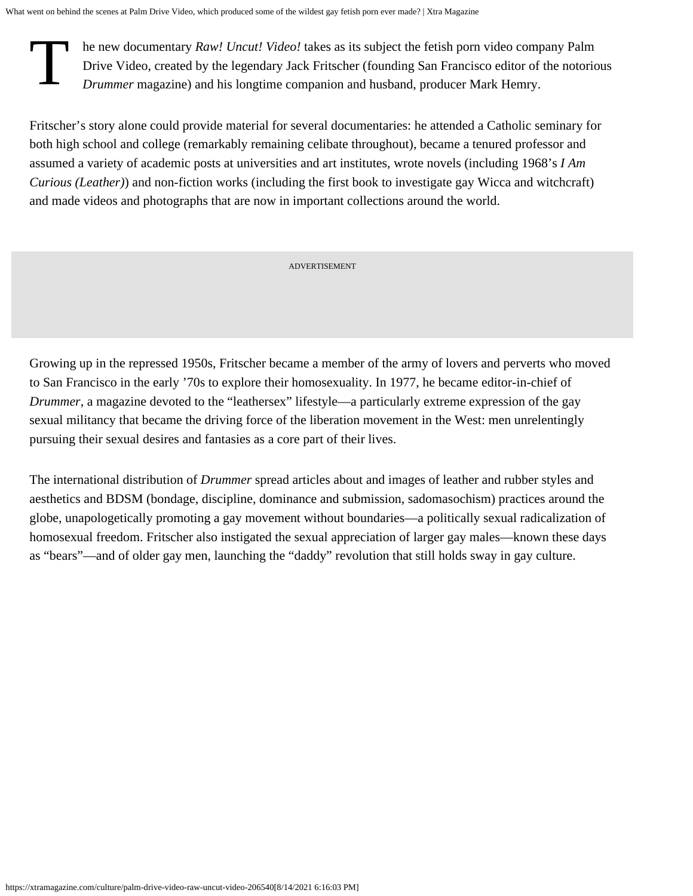T he new documentary *[Raw! Uncut! Video!](https://www.rawuncutvideo.com/)* takes as its subject the fetish porn video company Palm<br>Drive Video, created by the legendary Jack Fritscher (founding San Francisco editor of the notori<br>Drummer magazine) and his Drive Video, created by the legendary Jack Fritscher (founding San Francisco editor of the notorious *[Drummer](https://drummermagazine.men/Drummer/index.htm)* magazine) and his longtime companion and husband, producer Mark Hemry.

Fritscher's story alone could provide material for several documentaries: he attended a Catholic seminary for both high school and college (remarkably remaining celibate throughout), became a tenured professor and assumed a variety of academic posts at universities and art institutes, wrote novels (including 1968's *I Am Curious (Leather)*) and non-fiction works (including the first book to investigate gay Wicca and witchcraft) and made videos and photographs that are now in important collections around the world.

ADVERTISEMENT

Growing up in the repressed 1950s, Fritscher became a member of the army of lovers and perverts who moved to San Francisco in the early '70s to explore their homosexuality. In 1977, he became editor-in-chief of *Drummer*, a magazine devoted to the "leathersex" lifestyle—a particularly extreme expression of the gay sexual militancy that became the driving force of the liberation movement in the West: men unrelentingly pursuing their sexual desires and fantasies as a core part of their lives.

The international distribution of *Drummer* spread articles about and images of leather and rubber styles and aesthetics and [BDSM](https://xtramagazine.com/love-sex/from-vanilla-to-bdsm-in-just-a-few-weeks-71607) (bondage, discipline, dominance and submission, sadomasochism) practices around the globe, unapologetically promoting a gay movement without boundaries—a politically sexual radicalization of homosexual freedom. Fritscher also instigated the sexual appreciation of larger gay males—known [these days](https://www.vice.com/en/article/mbyg4a/chasing-bears-taught-me-to-accept-my-body) [as "bears](https://www.vice.com/en/article/mbyg4a/chasing-bears-taught-me-to-accept-my-body)"—and of older gay men, launching the ["daddy" revolution](https://xtramagazine.com/love-sex/how-i-learned-to-love-being-a-daddy-72909) that still holds sway in gay culture.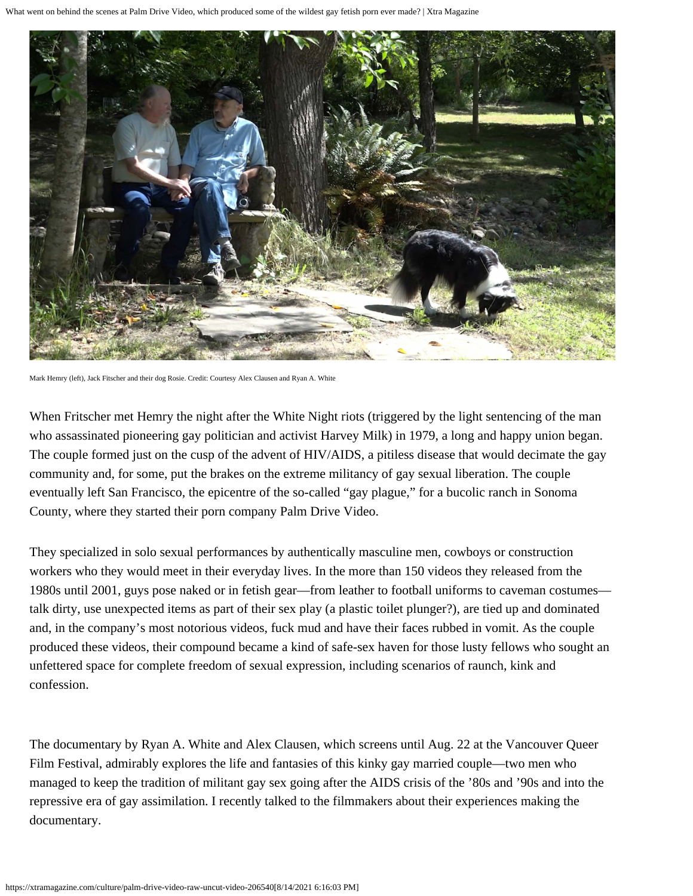

Mark Hemry (left), Jack Fitscher and their dog Rosie. Credit: Courtesy Alex Clausen and Ryan A. White

When Fritscher met Hemry the night after the [White Night riots](https://www.history.com/news/what-were-the-white-night-riots) (triggered by the light sentencing of the man who assassinated pioneering gay politician and activist Harvey Milk) in 1979, a long and happy union began. The couple formed just on the cusp of the advent of HIV/AIDS, a pitiless disease that would decimate the gay community and, for some, put the brakes on the extreme militancy of gay sexual liberation. The couple eventually left San Francisco, the epicentre of the so-called "gay plague," for a bucolic ranch in Sonoma County, where they started their porn company Palm Drive Video.

They specialized in solo sexual performances by authentically masculine men, cowboys or construction workers who they would meet in their everyday lives. In the more than 150 videos they released from the 1980s until 2001, guys pose naked or in fetish gear—from leather to football uniforms to caveman costumes talk dirty, use unexpected items as part of their sex play (a plastic toilet plunger?), are tied up and dominated and, in the company's most notorious videos, fuck mud and have their faces rubbed in vomit. As the couple produced these videos, their compound became a kind of safe-sex haven for those lusty fellows who sought an unfettered space for complete freedom of sexual expression, including scenarios of raunch, kink and confession.

The documentary by Ryan A. White and Alex Clausen, which screens until Aug. 22 at the [Vancouver Queer](https://outonscreen.com/vqff/programme/) [Film Festival](https://outonscreen.com/vqff/programme/), admirably explores the life and fantasies of this kinky gay married couple—two men who managed to keep the tradition of militant gay sex going after the AIDS crisis of the '80s and '90s and into the [repressive era](https://www.huffpost.com/entry/the-queers-left-behind-ho_b_7825158) of [gay assimilation](https://xtramagazine.com/power/being-gay-means-nothing-68797). I recently talked to the filmmakers about their experiences making the documentary.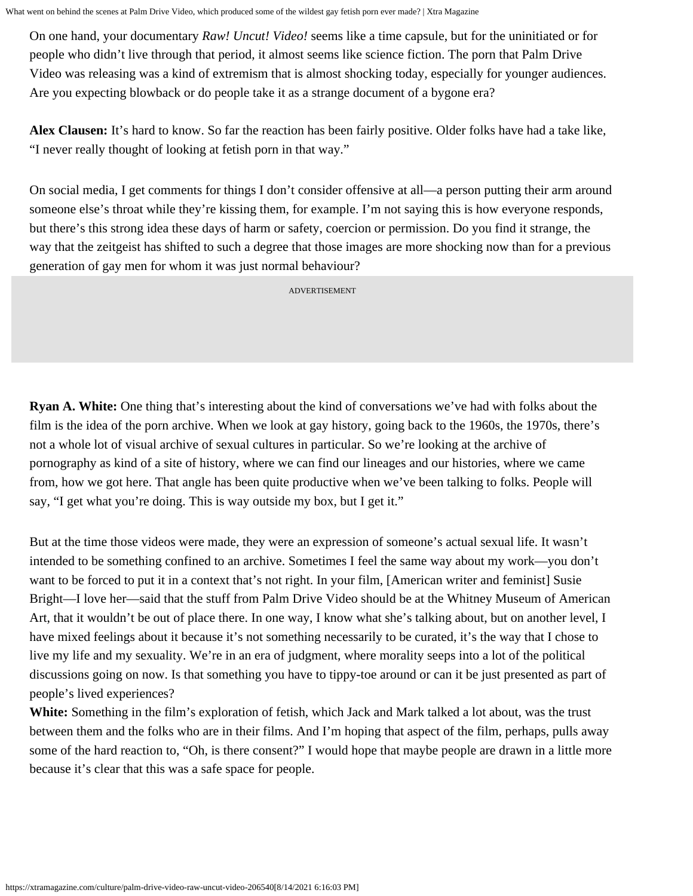On one hand, your documentary *Raw! Uncut! Video!* seems like a time capsule, but for the uninitiated or for people who didn't live through that period, it almost seems like science fiction. The porn that Palm Drive Video was releasing was a kind of extremism that is almost shocking today, especially for younger audiences. Are you expecting blowback or do people take it as a strange document of a bygone era?

**Alex Clausen:** It's hard to know. So far the reaction has been fairly positive. Older folks have had a take like, "I never really thought of looking at fetish porn in that way."

On social media, I get comments for things I don't consider offensive at all—a person putting their arm around someone else's throat while they're kissing them, for example. I'm not saying this is how everyone responds, but there's this strong idea these days of harm or safety, coercion or permission. Do you find it strange, the way that the zeitgeist has shifted to such a degree that those images are more shocking now than for a previous generation of gay men for whom it was just normal behaviour?

ADVERTISEMENT

**Ryan A. White:** One thing that's interesting about the kind of conversations we've had with folks about the film is the idea of the porn archive. When we look at gay history, going back to the 1960s, the 1970s, there's not a whole lot of visual archive of sexual cultures in particular. So we're looking at the archive of pornography as kind of a site of history, where we can find our lineages and our histories, where we came from, how we got here. That angle has been quite productive when we've been talking to folks. People will say, "I get what you're doing. This is way outside my box, but I get it."

But at the time those videos were made, they were an expression of someone's actual sexual life. It wasn't intended to be something confined to an archive. Sometimes I feel the same way about [my work](http://brucelabruce.com/films/)—you don't want to be forced to put it in a context that's not right. In your film, [American writer and feminist[\] Susie](https://twitter.com/susiebright) [Bright—](https://twitter.com/susiebright)I love her—said that the stuff from Palm Drive Video should be at the Whitney Museum of American Art, that it wouldn't be out of place there. In one way, I know what she's talking about, but on another level, I have mixed feelings about it because it's not something necessarily to be curated, it's the way that I chose to live my life and my sexuality. We're in an era of judgment, where morality seeps into a lot of the political discussions going on now. Is that something you have to tippy-toe around or can it be just presented as part of people's lived experiences?

**White:** Something in the film's exploration of fetish, which Jack and Mark talked a lot about, was the trust between them and the folks who are in their films. And I'm hoping that aspect of the film, perhaps, pulls away some of the hard reaction to, "Oh, is there consent?" I would hope that maybe people are drawn in a little more because it's clear that this was a safe space for people.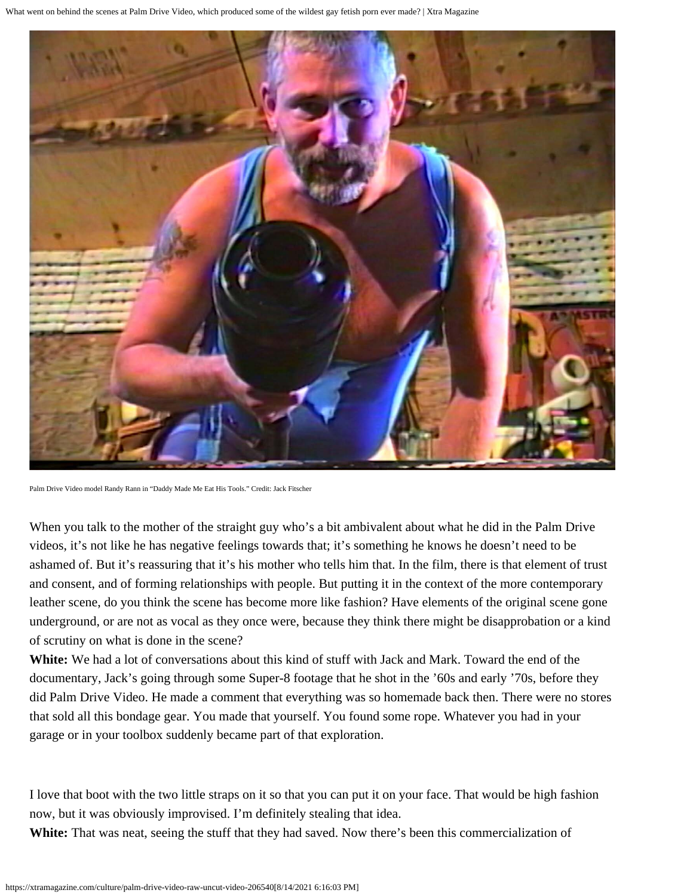

Palm Drive Video model Randy Rann in "Daddy Made Me Eat His Tools." Credit: Jack Fitscher

When you talk to the mother of the straight guy who's a bit ambivalent about what he did in the Palm Drive videos, it's not like he has negative feelings towards that; it's something he knows he doesn't need to be ashamed of. But it's reassuring that it's his mother who tells him that. In the film, there is that element of trust and consent, and of forming relationships with people. But putting it in the context of the more contemporary leather scene, do you think the scene has become more like fashion? Have elements of the original scene gone underground, or are not as vocal as they once were, because they think there might be disapprobation or a kind of scrutiny on what is done in the scene?

**White:** We had a lot of conversations about this kind of stuff with Jack and Mark. Toward the end of the documentary, Jack's going through some Super-8 footage that he shot in the '60s and early '70s, before they did Palm Drive Video. He made a comment that everything was so homemade back then. There were no stores that sold all this bondage gear. You made that yourself. You found some rope. Whatever you had in your garage or in your toolbox suddenly became part of that exploration.

I love that boot with the two little straps on it so that you can put it on your face. That would be high fashion now, but it was obviously improvised. I'm definitely stealing that idea.

**White:** That was neat, seeing the stuff that they had saved. Now there's been this commercialization of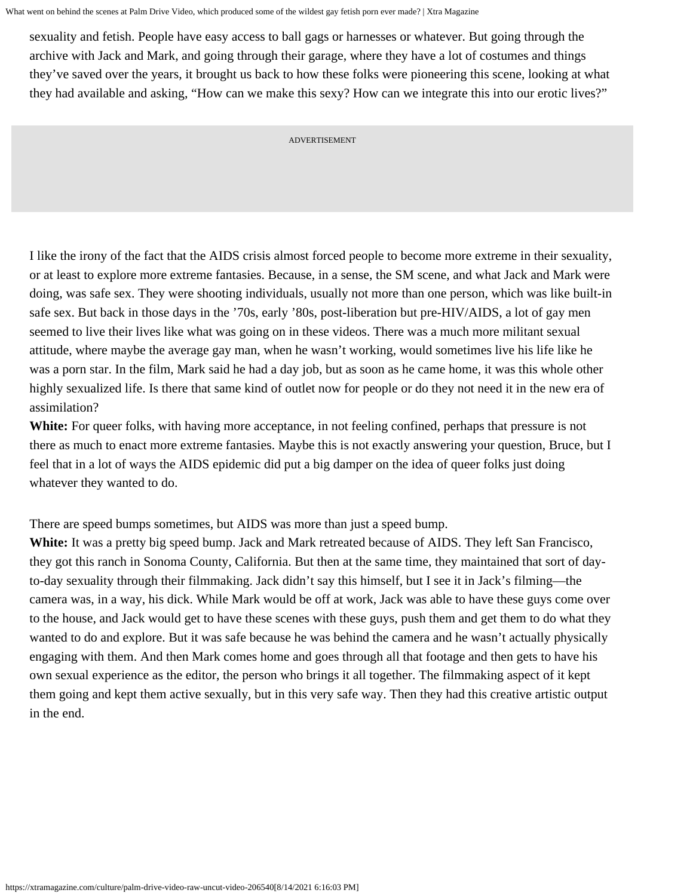sexuality and fetish. People have easy access to ball gags or harnesses or whatever. But going through the archive with Jack and Mark, and going through their garage, where they have a lot of costumes and things they've saved over the years, it brought us back to how these folks were pioneering this scene, looking at what they had available and asking, "How can we make this sexy? How can we integrate this into our erotic lives?"

ADVERTISEMENT

I like the irony of the fact that the AIDS crisis almost forced people to become more extreme in their sexuality, or at least to explore more extreme fantasies. Because, in a sense, the SM scene, and what Jack and Mark were doing, was safe sex. They were shooting individuals, usually not more than one person, which was like built-in safe sex. But back in those days in the '70s, early '80s, post-liberation but pre-HIV/AIDS, a lot of gay men seemed to live their lives like what was going on in these videos. There was a much more militant sexual attitude, where maybe the average gay man, when he wasn't working, would sometimes live his life like he was a porn star. In the film, Mark said he had a day job, but as soon as he came home, it was this whole other highly sexualized life. Is there that same kind of outlet now for people or do they not need it in the new era of assimilation?

**White:** For queer folks, with having more acceptance, in not feeling confined, perhaps that pressure is not there as much to enact more extreme fantasies. Maybe this is not exactly answering your question, Bruce, but I feel that in a lot of ways the AIDS epidemic did put a big damper on the idea of queer folks just doing whatever they wanted to do.

There are speed bumps sometimes, but AIDS was more than just a speed bump.

**White:** It was a pretty big speed bump. Jack and Mark retreated because of AIDS. They left San Francisco, they got this ranch in Sonoma County, California. But then at the same time, they maintained that sort of dayto-day sexuality through their filmmaking. Jack didn't say this himself, but I see it in Jack's filming—the camera was, in a way, his dick. While Mark would be off at work, Jack was able to have these guys come over to the house, and Jack would get to have these scenes with these guys, push them and get them to do what they wanted to do and explore. But it was safe because he was behind the camera and he wasn't actually physically engaging with them. And then Mark comes home and goes through all that footage and then gets to have his own sexual experience as the editor, the person who brings it all together. The filmmaking aspect of it kept them going and kept them active sexually, but in this very safe way. Then they had this creative artistic output in the end.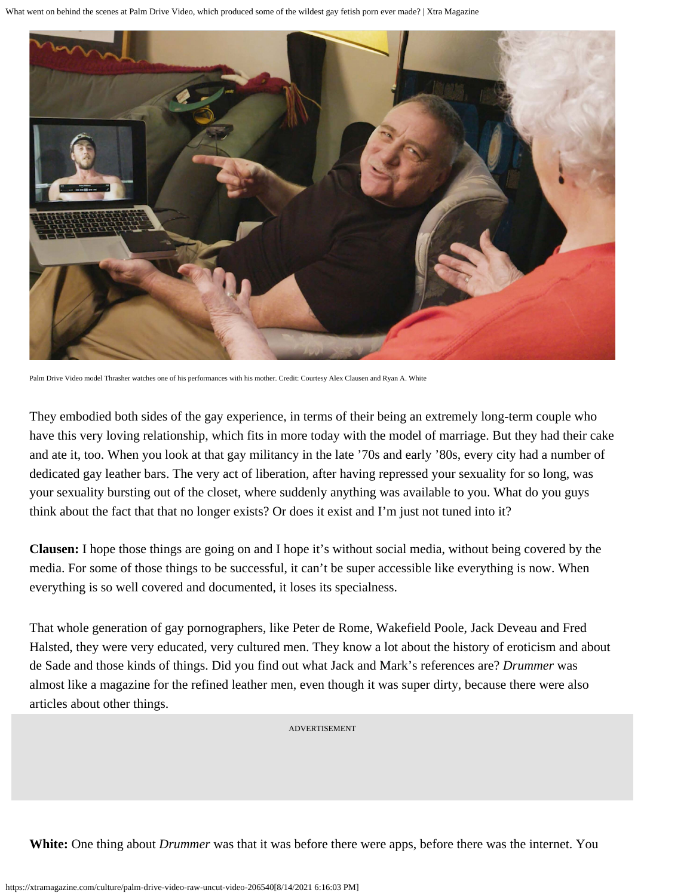

Palm Drive Video model Thrasher watches one of his performances with his mother. Credit: Courtesy Alex Clausen and Ryan A. White

They embodied both sides of the gay experience, in terms of their being an extremely long-term couple who have this very loving relationship, which fits in more today with the model of marriage. But they had their cake and ate it, too. When you look at that gay militancy in the late '70s and early '80s, every city had a number of dedicated gay leather bars. The very act of liberation, after having repressed your sexuality for so long, was your sexuality bursting out of the closet, where suddenly anything was available to you. What do you guys think about the fact that that no longer exists? Or does it exist and I'm just not tuned into it?

**Clausen:** I hope those things are going on and I hope it's without social media, without being covered by the media. For some of those things to be successful, it can't be super accessible like everything is now. When everything is so well covered and documented, it loses its specialness.

That whole generation of gay pornographers, lik[e Peter de Rome](https://www.youtube.com/watch?v=nl5A37R8rpM)[, Wakefield Poole](https://www.indiewire.com/2014/07/who-is-wakefield-poole-and-why-havent-you-heard-of-him-216218/)[, Jack Deveau](https://vimeo.com/90196228) an[d Fred](https://www.artforum.com/film/william-e-jones-on-fred-halsted-20966) [Halsted](https://www.artforum.com/film/william-e-jones-on-fred-halsted-20966), they were very educated, very cultured men. They know a lot about the history of eroticism and about [de Sade](https://www.smithsonianmag.com/history/who-was-marquis-de-sade-180953980/) and those kinds of things. Did you find out what Jack and Mark's references are? *Drummer* was almost like a magazine for the refined leather men, even though it was super dirty, because there were also articles about other things.

ADVERTISEMENT

**White:** One thing about *Drummer* was that it was before there were apps, before there was the internet. You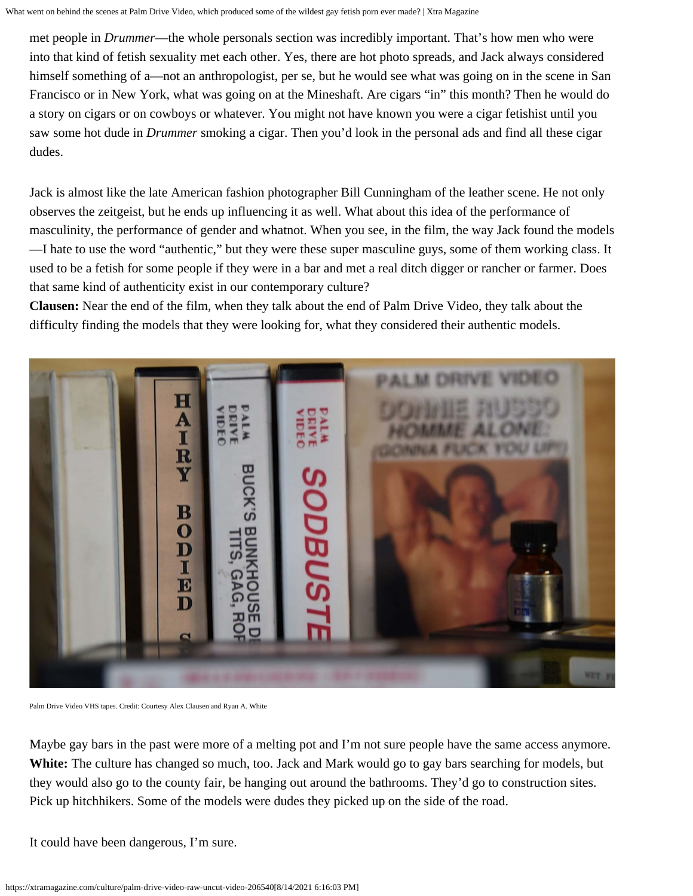met people in *Drummer*—the whole personals section was incredibly important. That's how men who were into that kind of fetish sexuality met each other. Yes, there are hot photo spreads, and Jack always considered himself something of a—not an anthropologist, per se, but he would see what was going on in the scene in San Francisco or in New York, what was going on at the Mineshaft. Are cigars "in" this month? Then he would do a story on cigars or on cowboys or whatever. You might not have known you were a cigar fetishist until you saw some hot dude in *Drummer* smoking a cigar. Then you'd look in the personal ads and find all these cigar dudes.

Jack is almost like the late American fashion photographer B[ill Cunningham](https://www.nytimes.com/2016/06/26/style/bill-cunningham-legendary-times-fashion-photographer-dies-at-87.html) of the leather scene. He not only observes the zeitgeist, but he ends up influencing it as well. What about this idea of the performance of masculinity, the performance of gender and whatnot. When you see, in the film, the way Jack found the models —I hate to use the word "authentic," but they were these super masculine guys, some of them working class. It used to be a fetish for some people if they were in a bar and met a real ditch digger or rancher or farmer. Does that same kind of authenticity exist in our contemporary culture?

**Clausen:** Near the end of the film, when they talk about the end of Palm Drive Video, they talk about the difficulty finding the models that they were looking for, what they considered their authentic models.



Palm Drive Video VHS tapes. Credit: Courtesy Alex Clausen and Ryan A. White

Maybe gay bars in the past were more of a melting pot and I'm not sure people have the same access anymore. **White:** The culture has changed so much, too. Jack and Mark would go to gay bars searching for models, but they would also go to the county fair, be hanging out around the bathrooms. They'd go to construction sites. Pick up hitchhikers. Some of the models were dudes they picked up on the side of the road.

It could have been dangerous, I'm sure.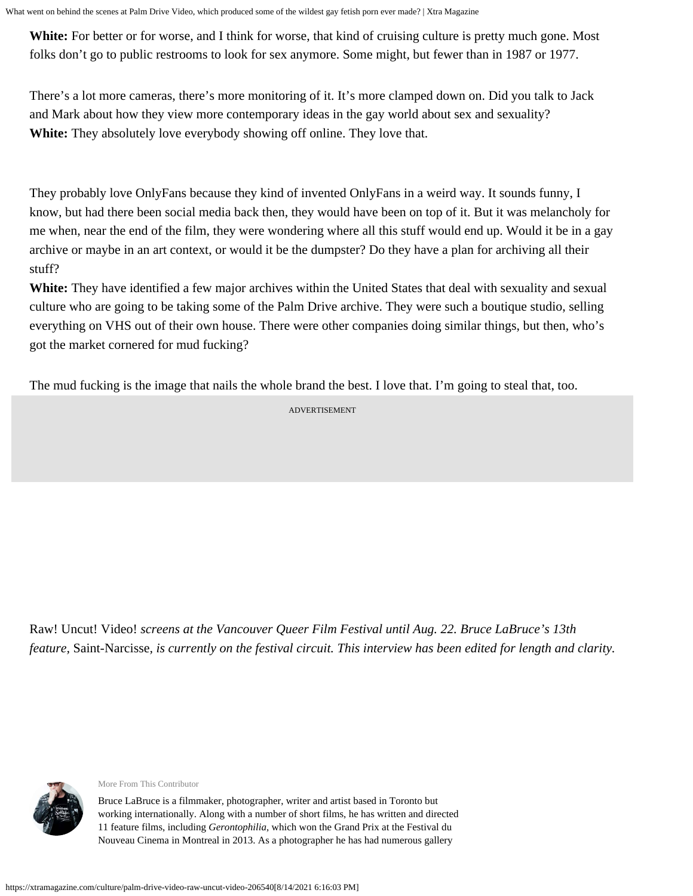**White:** For better or for worse, and I think for worse, that kind of cruising culture is pretty much gone. Most folks don't go to public restrooms to look for sex anymore. Some might, but fewer than in 1987 or 1977.

There's a lot more cameras, there's more monitoring of it. It's more clamped down on. Did you talk to Jack and Mark about how they view more contemporary ideas in the gay world about sex and sexuality? **White:** They absolutely love everybody showing off online. They love that.

They probably love OnlyFans because they kind of invented OnlyFans in a weird way. It sounds funny, I know, but had there been social media back then, they would have been on top of it. But it was melancholy for me when, near the end of the film, they were wondering where all this stuff would end up. Would it be in a gay archive or maybe in an art context, or would it be the dumpster? Do they have a plan for archiving all their stuff?

**White:** They have identified a few major archives within the United States that deal with sexuality and sexual culture who are going to be taking some of the Palm Drive archive. They were such a boutique studio, selling everything on VHS out of their own house. There were other companies doing similar things, but then, who's got the market cornered for mud fucking?

The mud fucking is the image that nails the whole brand the best. I love that. I'm going to steal that, too.

ADVERTISEMENT

Raw! Uncut! Video! *screens at the [Vancouver Queer Film Festival](https://outonscreen.com/vqff/) until Aug. 22. Bruce LaBruce's 13th feature,* Saint-Narcisse*, is currently on the festival circuit. This interview has been edited for length and clarity.*



[More From This Contributor](https://xtramagazine.com/contributor/bruce-labruce)

Bruce LaBruce is a filmmaker, photographer, writer and artist based in Toronto but working internationally. Along with a number of short films, he has written and directed 11 feature films, including *Gerontophilia*, which won the Grand Prix at the Festival du Nouveau Cinema in Montreal in 2013. As a photographer he has had numerous gallery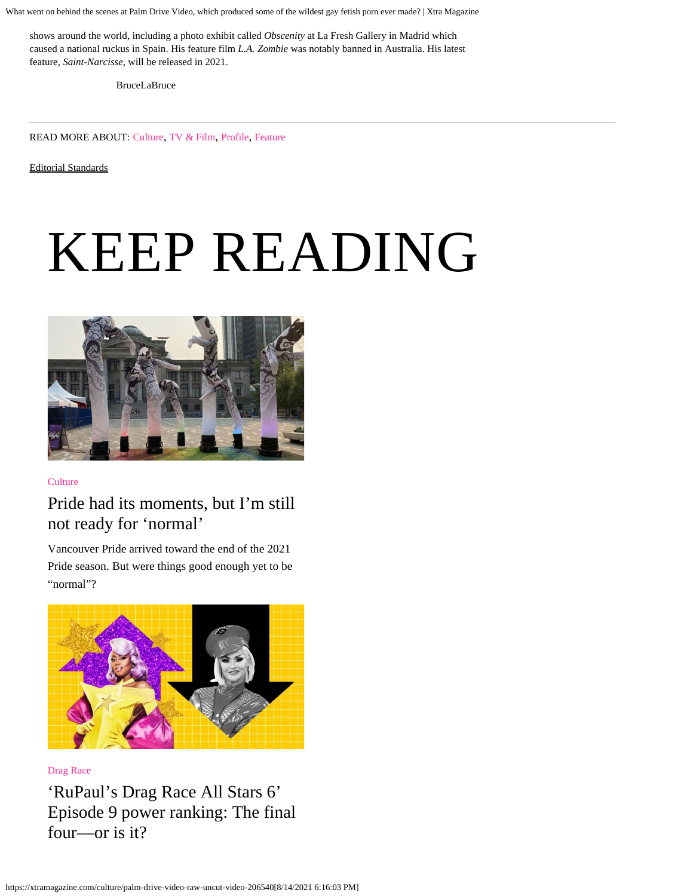shows around the world, including a photo exhibit called *Obscenity* at La Fresh Gallery in Madrid which caused a national ruckus in Spain. His feature film *L.A. Zombie* was notably banned in Australia. His latest feature, *Saint-Narcisse*, will be released in 2021.

[BruceLaBruce](https://twitter.com/BruceLaBruce)

READ MORE ABOUT: [Culture](https://xtramagazine.com/culture), [TV & Film](https://xtramagazine.com/culture/tv-film), [Profile](https://xtramagazine.com/format/profile), [Feature](https://xtramagazine.com/format/feature)

[Editorial Standards](https://xtramagazine.com/standards)

# KEEP READING



**[Culture](https://xtramagazine.com/culture)** 

#### [Pride had its moments, but I'm still](https://xtramagazine.com/culture/vancouver-pride-recap-covid-206708) [not ready for 'normal'](https://xtramagazine.com/culture/vancouver-pride-recap-covid-206708)

Vancouver Pride arrived toward the end of the 2021 Pride season. But were things good enough yet to be "normal"?



[Drag Race](https://xtramagazine.com/culture/drag-race)

['RuPaul's Drag Race All Stars 6'](https://xtramagazine.com/culture/rupauls-drag-race-allstars6-episode9-ranking-206710) [Episode 9 power ranking: The final](https://xtramagazine.com/culture/rupauls-drag-race-allstars6-episode9-ranking-206710) [four—or is it?](https://xtramagazine.com/culture/rupauls-drag-race-allstars6-episode9-ranking-206710)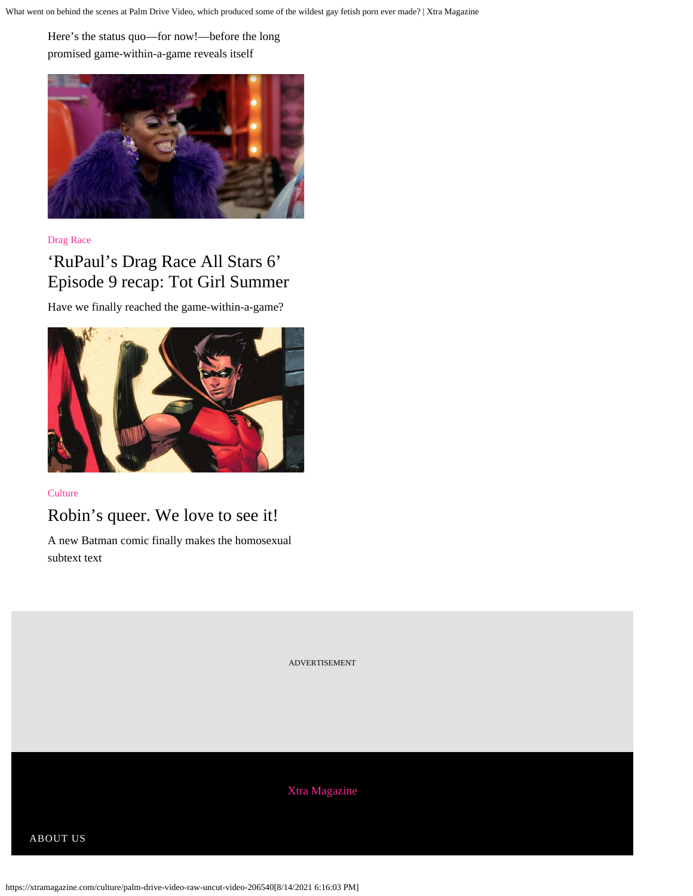Here's the status quo—for now!—before the long promised game-within-a-game reveals itself



[Drag Race](https://xtramagazine.com/culture/drag-race)

### ['RuPaul's Drag Race All Stars 6'](https://xtramagazine.com/culture/rupaul-drag-race-allstars6-episode9-recap-206690) [Episode 9 recap: Tot Girl Summer](https://xtramagazine.com/culture/rupaul-drag-race-allstars6-episode9-recap-206690)

Have we finally reached the game-within-a-game?



**[Culture](https://xtramagazine.com/culture)** 

#### [Robin's queer. We love to see it!](https://xtramagazine.com/culture/robin-batman-coming-out-206521)

A new Batman comic finally makes the homosexual subtext text

ADVERTISEMENT

[Xtra Magazine](https://xtramagazine.com/)

[ABOUT US](https://xtramagazine.com/about)